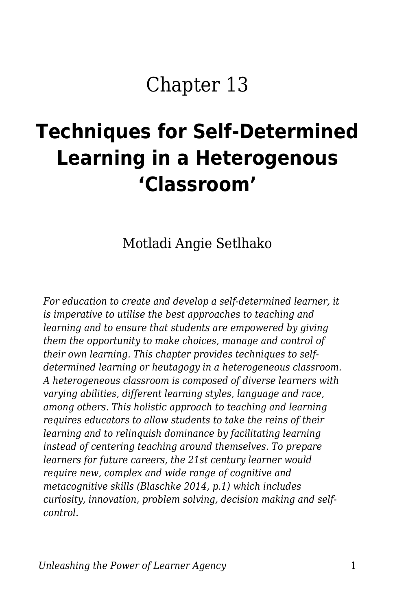# Chapter 13

# **Techniques for Self-Determined Learning in a Heterogenous 'Classroom'**

Motladi Angie Setlhako

*For education to create and develop a self-determined learner, it is imperative to utilise the best approaches to teaching and learning and to ensure that students are empowered by giving them the opportunity to make choices, manage and control of their own learning. This chapter provides techniques to selfdetermined learning or heutagogy in a heterogeneous classroom. A heterogeneous classroom is composed of diverse learners with varying abilities, different learning styles, language and race, among others. This holistic approach to teaching and learning requires educators to allow students to take the reins of their learning and to relinquish dominance by facilitating learning instead of centering teaching around themselves. To prepare learners for future careers, the 21st century learner would require new, complex and wide range of cognitive and metacognitive skills (Blaschke 2014, p.1) which includes curiosity, innovation, problem solving, decision making and selfcontrol.*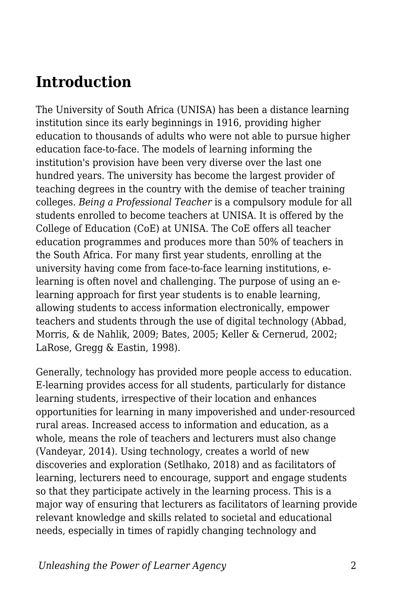#### **Introduction**

The University of South Africa (UNISA) has been a distance learning institution since its early beginnings in 1916, providing higher education to thousands of adults who were not able to pursue higher education face-to-face. The models of learning informing the institution's provision have been very diverse over the last one hundred years. The university has become the largest provider of teaching degrees in the country with the demise of teacher training colleges. *Being a Professional Teacher* is a compulsory module for all students enrolled to become teachers at UNISA. It is offered by the College of Education (CoE) at UNISA. The CoE offers all teacher education programmes and produces more than 50% of teachers in the South Africa. For many first year students, enrolling at the university having come from face-to-face learning institutions, elearning is often novel and challenging. The purpose of using an elearning approach for first year students is to enable learning, allowing students to access information electronically, empower teachers and students through the use of digital technology (Abbad, Morris, & de Nahlik, 2009; Bates, 2005; Keller & Cernerud, 2002; LaRose, Gregg & Eastin, 1998).

Generally, technology has provided more people access to education. E-learning provides access for all students, particularly for distance learning students, irrespective of their location and enhances opportunities for learning in many impoverished and under-resourced rural areas. Increased access to information and education, as a whole, means the role of teachers and lecturers must also change (Vandeyar, 2014). Using technology, creates a world of new discoveries and exploration (Setlhako, 2018) and as facilitators of learning, lecturers need to encourage, support and engage students so that they participate actively in the learning process. This is a major way of ensuring that lecturers as facilitators of learning provide relevant knowledge and skills related to societal and educational needs, especially in times of rapidly changing technology and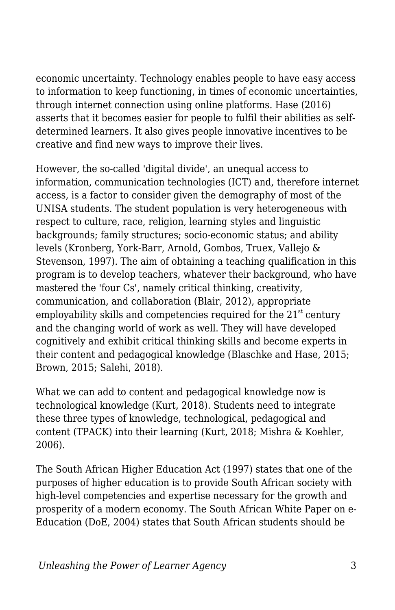economic uncertainty. Technology enables people to have easy access to information to keep functioning, in times of economic uncertainties, through internet connection using online platforms. Hase (2016) asserts that it becomes easier for people to fulfil their abilities as selfdetermined learners. It also gives people innovative incentives to be creative and find new ways to improve their lives.

However, the so-called 'digital divide', an unequal access to information, communication technologies (ICT) and, therefore internet access, is a factor to consider given the demography of most of the UNISA students. The student population is very heterogeneous with respect to culture, race, religion, learning styles and linguistic backgrounds; family structures; socio-economic status; and ability levels (Kronberg, York-Barr, Arnold, Gombos, Truex, Vallejo & Stevenson, 1997). The aim of obtaining a teaching qualification in this program is to develop teachers, whatever their background, who have mastered the 'four Cs', namely critical thinking, creativity, communication, and collaboration (Blair, 2012), appropriate employability skills and competencies required for the  $21<sup>st</sup>$  century and the changing world of work as well. They will have developed cognitively and exhibit critical thinking skills and become experts in their content and pedagogical knowledge (Blaschke and Hase, 2015; Brown, 2015; Salehi, 2018).

What we can add to content and pedagogical knowledge now is technological knowledge (Kurt, 2018). Students need to integrate these three types of knowledge, technological, pedagogical and content (TPACK) into their learning (Kurt, 2018; Mishra & Koehler, 2006).

The South African Higher Education Act (1997) states that one of the purposes of higher education is to provide South African society with high-level competencies and expertise necessary for the growth and prosperity of a modern economy. The South African White Paper on e-Education (DoE, 2004) states that South African students should be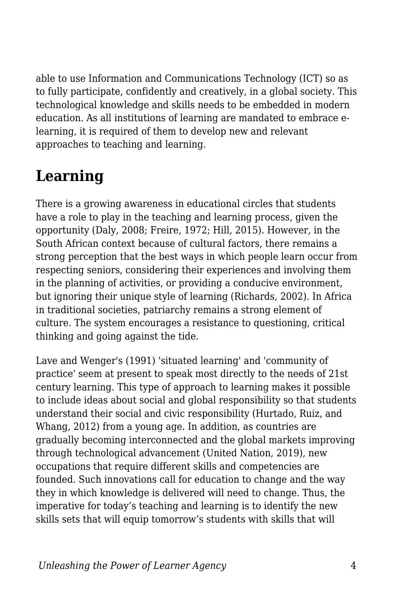able to use Information and Communications Technology (ICT) so as to fully participate, confidently and creatively, in a global society. This technological knowledge and skills needs to be embedded in modern education. As all institutions of learning are mandated to embrace elearning, it is required of them to develop new and relevant approaches to teaching and learning.

## **Learning**

There is a growing awareness in educational circles that students have a role to play in the teaching and learning process, given the opportunity (Daly, 2008; Freire, 1972; Hill, 2015). However, in the South African context because of cultural factors, there remains a strong perception that the best ways in which people learn occur from respecting seniors, considering their experiences and involving them in the planning of activities, or providing a conducive environment, but ignoring their unique style of learning (Richards, 2002). In Africa in traditional societies, patriarchy remains a strong element of culture. The system encourages a resistance to questioning, critical thinking and going against the tide.

Lave and Wenger's (1991) 'situated learning' and 'community of practice' seem at present to speak most directly to the needs of 21st century learning. This type of approach to learning makes it possible to include ideas about social and global responsibility so that students understand their social and civic responsibility (Hurtado, Ruiz, and Whang, 2012) from a young age. In addition, as countries are gradually becoming interconnected and the global markets improving through technological advancement (United Nation, 2019), new occupations that require different skills and competencies are founded. Such innovations call for education to change and the way they in which knowledge is delivered will need to change. Thus, the imperative for today's teaching and learning is to identify the new skills sets that will equip tomorrow's students with skills that will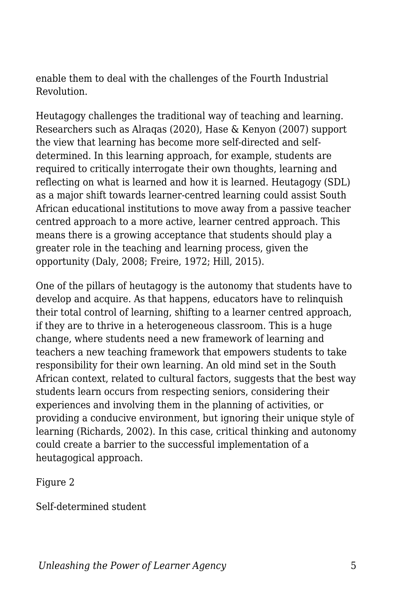enable them to deal with the challenges of the Fourth Industrial Revolution.

Heutagogy challenges the traditional way of teaching and learning. Researchers such as Alraqas (2020), Hase & Kenyon (2007) support the view that learning has become more self-directed and selfdetermined. In this learning approach, for example, students are required to critically interrogate their own thoughts, learning and reflecting on what is learned and how it is learned. Heutagogy (SDL) as a major shift towards learner-centred learning could assist South African educational institutions to move away from a passive teacher centred approach to a more active, learner centred approach. This means there is a growing acceptance that students should play a greater role in the teaching and learning process, given the opportunity (Daly, 2008; Freire, 1972; Hill, 2015).

One of the pillars of heutagogy is the autonomy that students have to develop and acquire. As that happens, educators have to relinquish their total control of learning, shifting to a learner centred approach, if they are to thrive in a heterogeneous classroom. This is a huge change, where students need a new framework of learning and teachers a new teaching framework that empowers students to take responsibility for their own learning. An old mind set in the South African context, related to cultural factors, suggests that the best way students learn occurs from respecting seniors, considering their experiences and involving them in the planning of activities, or providing a conducive environment, but ignoring their unique style of learning (Richards, 2002). In this case, critical thinking and autonomy could create a barrier to the successful implementation of a heutagogical approach.

Figure 2

Self-determined student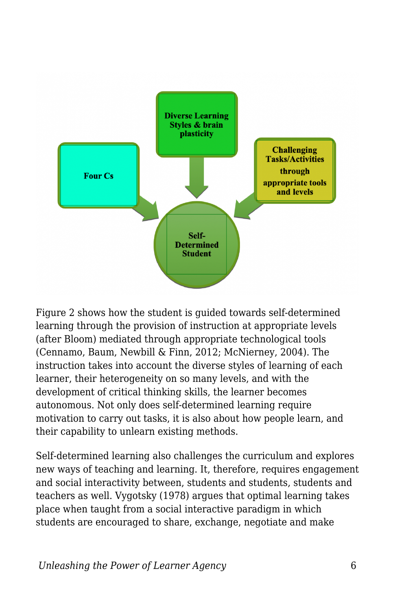

Figure 2 shows how the student is guided towards self-determined learning through the provision of instruction at appropriate levels (after Bloom) mediated through appropriate technological tools (Cennamo, Baum, Newbill & Finn, 2012; McNierney, 2004). The instruction takes into account the diverse styles of learning of each learner, their heterogeneity on so many levels, and with the development of critical thinking skills, the learner becomes autonomous. Not only does self-determined learning require motivation to carry out tasks, it is also about how people learn, and their capability to unlearn existing methods.

Self-determined learning also challenges the curriculum and explores new ways of teaching and learning. It, therefore, requires engagement and social interactivity between, students and students, students and teachers as well. Vygotsky (1978) argues that optimal learning takes place when taught from a social interactive paradigm in which students are encouraged to share, exchange, negotiate and make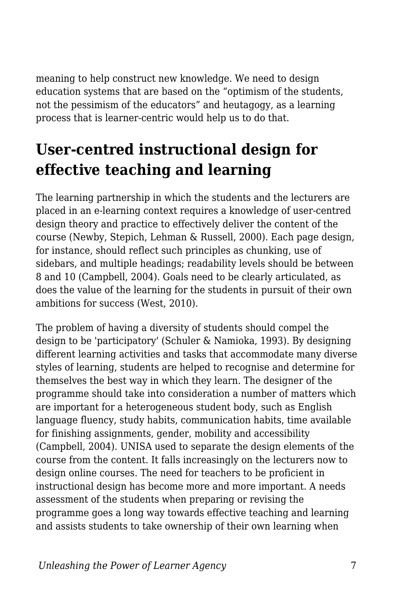meaning to help construct new knowledge. We need to design education systems that are based on the "optimism of the students, not the pessimism of the educators" and heutagogy, as a learning process that is learner-centric would help us to do that.

### **User-centred instructional design for effective teaching and learning**

The learning partnership in which the students and the lecturers are placed in an e-learning context requires a knowledge of user-centred design theory and practice to effectively deliver the content of the course (Newby, Stepich, Lehman & Russell, 2000). Each page design, for instance, should reflect such principles as chunking, use of sidebars, and multiple headings; readability levels should be between 8 and 10 (Campbell, 2004). Goals need to be clearly articulated, as does the value of the learning for the students in pursuit of their own ambitions for success (West, 2010).

The problem of having a diversity of students should compel the design to be 'participatory' (Schuler & Namioka, 1993). By designing different learning activities and tasks that accommodate many diverse styles of learning, students are helped to recognise and determine for themselves the best way in which they learn. The designer of the programme should take into consideration a number of matters which are important for a heterogeneous student body, such as English language fluency, study habits, communication habits, time available for finishing assignments, gender, mobility and accessibility (Campbell, 2004). UNISA used to separate the design elements of the course from the content. It falls increasingly on the lecturers now to design online courses. The need for teachers to be proficient in instructional design has become more and more important. A needs assessment of the students when preparing or revising the programme goes a long way towards effective teaching and learning and assists students to take ownership of their own learning when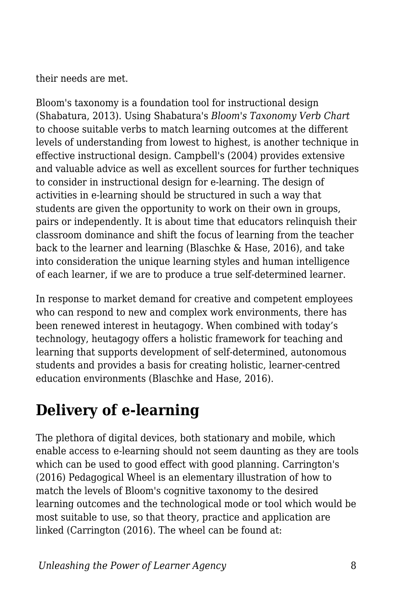their needs are met.

Bloom's taxonomy is a foundation tool for instructional design (Shabatura, 2013). Using Shabatura's *Bloom's Taxonomy Verb Chart* to choose suitable verbs to match learning outcomes at the different levels of understanding from lowest to highest, is another technique in effective instructional design. Campbell's (2004) provides extensive and valuable advice as well as excellent sources for further techniques to consider in instructional design for e-learning. The design of activities in e-learning should be structured in such a way that students are given the opportunity to work on their own in groups, pairs or independently. It is about time that educators relinquish their classroom dominance and shift the focus of learning from the teacher back to the learner and learning (Blaschke & Hase, 2016), and take into consideration the unique learning styles and human intelligence of each learner, if we are to produce a true self-determined learner.

In response to market demand for creative and competent employees who can respond to new and complex work environments, there has been renewed interest in heutagogy. When combined with today's technology, heutagogy offers a holistic framework for teaching and learning that supports development of self-determined, autonomous students and provides a basis for creating holistic, learner-centred education environments (Blaschke and Hase, 2016).

### **Delivery of e-learning**

The plethora of digital devices, both stationary and mobile, which enable access to e-learning should not seem daunting as they are tools which can be used to good effect with good planning. Carrington's (2016) Pedagogical Wheel is an elementary illustration of how to match the levels of Bloom's cognitive taxonomy to the desired learning outcomes and the technological mode or tool which would be most suitable to use, so that theory, practice and application are linked (Carrington (2016). The wheel can be found at: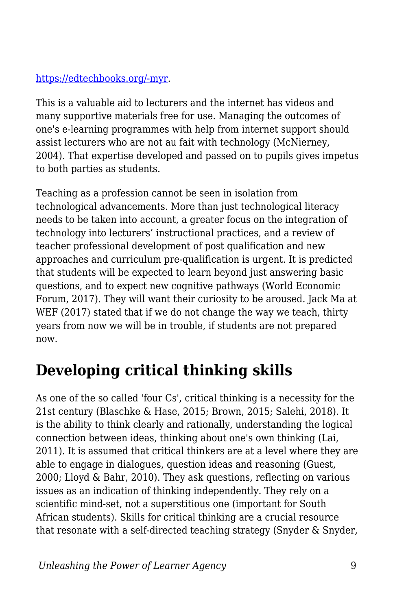#### [https://edtechbooks.org/-myr](https://educationtechnologysolutions.com/2016/06/padagogy-wheel/).

This is a valuable aid to lecturers and the internet has videos and many supportive materials free for use. Managing the outcomes of one's e-learning programmes with help from internet support should assist lecturers who are not au fait with technology (McNierney, 2004). That expertise developed and passed on to pupils gives impetus to both parties as students.

Teaching as a profession cannot be seen in isolation from technological advancements. More than just technological literacy needs to be taken into account, a greater focus on the integration of technology into lecturers' instructional practices, and a review of teacher professional development of post qualification and new approaches and curriculum pre-qualification is urgent. It is predicted that students will be expected to learn beyond just answering basic questions, and to expect new cognitive pathways (World Economic Forum, 2017). They will want their curiosity to be aroused. Jack Ma at WEF (2017) stated that if we do not change the way we teach, thirty years from now we will be in trouble, if students are not prepared now.

### **Developing critical thinking skills**

As one of the so called 'four Cs', critical thinking is a necessity for the 21st century (Blaschke & Hase, 2015; Brown, 2015; Salehi, 2018). It is the ability to think clearly and rationally, understanding the logical connection between ideas, thinking about one's own thinking (Lai, 2011). It is assumed that critical thinkers are at a level where they are able to engage in dialogues, question ideas and reasoning (Guest, 2000; Lloyd & Bahr, 2010). They ask questions, reflecting on various issues as an indication of thinking independently. They rely on a scientific mind-set, not a superstitious one (important for South African students). Skills for critical thinking are a crucial resource that resonate with a self-directed teaching strategy (Snyder & Snyder,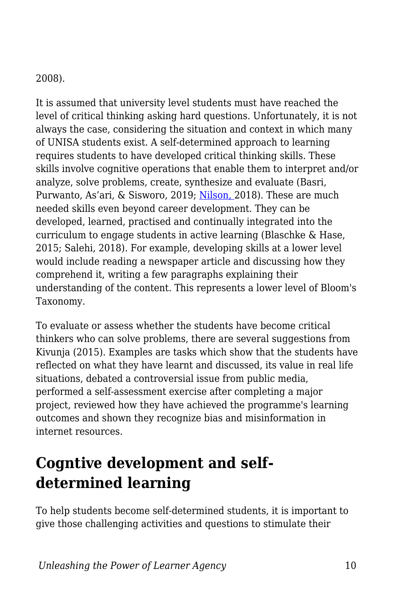#### 2008).

It is assumed that university level students must have reached the level of critical thinking asking hard questions. Unfortunately, it is not always the case, considering the situation and context in which many of UNISA students exist. A self-determined approach to learning requires students to have developed critical thinking skills. These skills involve cognitive operations that enable them to interpret and/or analyze, solve problems, create, synthesize and evaluate (Basri, Purwanto, As'ari, & Sisworo, 2019; [Nilson,](https://www.facultyfocus.com/author/linda-b-nilson-phd/) 2018). These are much needed skills even beyond career development. They can be developed, learned, practised and continually integrated into the curriculum to engage students in active learning (Blaschke & Hase, 2015; Salehi, 2018). For example, developing skills at a lower level would include reading a newspaper article and discussing how they comprehend it, writing a few paragraphs explaining their understanding of the content. This represents a lower level of Bloom's Taxonomy.

To evaluate or assess whether the students have become critical thinkers who can solve problems, there are several suggestions from Kivunja (2015). Examples are tasks which show that the students have reflected on what they have learnt and discussed, its value in real life situations, debated a controversial issue from public media, performed a self-assessment exercise after completing a major project, reviewed how they have achieved the programme's learning outcomes and shown they recognize bias and misinformation in internet resources.

### **Cogntive development and selfdetermined learning**

To help students become self-determined students, it is important to give those challenging activities and questions to stimulate their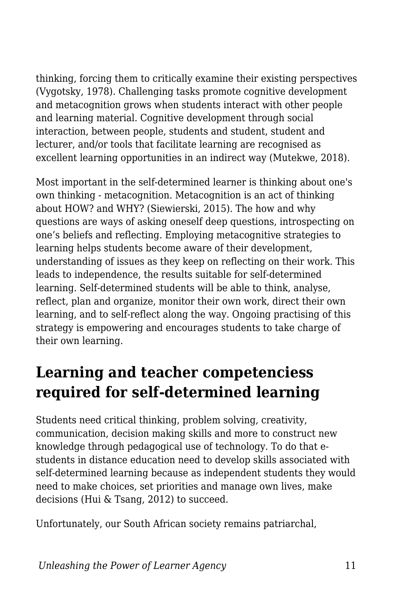thinking, forcing them to critically examine their existing perspectives (Vygotsky, 1978). Challenging tasks promote cognitive development and metacognition grows when students interact with other people and learning material. Cognitive development through social interaction, between people, students and student, student and lecturer, and/or tools that facilitate learning are recognised as excellent learning opportunities in an indirect way (Mutekwe, 2018).

Most important in the self-determined learner is thinking about one's own thinking - metacognition. Metacognition is an act of thinking about HOW? and WHY? (Siewierski, 2015). The how and why questions are ways of asking oneself deep questions, introspecting on one's beliefs and reflecting. Employing metacognitive strategies to learning helps students become aware of their development, understanding of issues as they keep on reflecting on their work. This leads to independence, the results suitable for self-determined learning. Self-determined students will be able to think, analyse, reflect, plan and organize, monitor their own work, direct their own learning, and to self-reflect along the way. Ongoing practising of this strategy is empowering and encourages students to take charge of their own learning.

#### **Learning and teacher competenciess required for self-determined learning**

Students need critical thinking, problem solving, creativity, communication, decision making skills and more to construct new knowledge through pedagogical use of technology. To do that estudents in distance education need to develop skills associated with self-determined learning because as independent students they would need to make choices, set priorities and manage own lives, make decisions (Hui & Tsang, 2012) to succeed.

Unfortunately, our South African society remains patriarchal,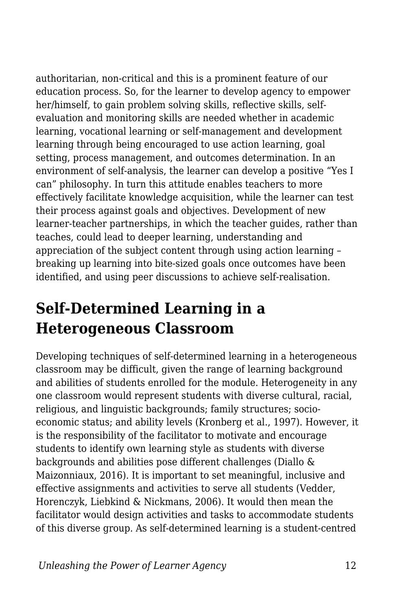authoritarian, non-critical and this is a prominent feature of our education process. So, for the learner to develop agency to empower her/himself, to gain problem solving skills, reflective skills, selfevaluation and monitoring skills are needed whether in academic learning, vocational learning or self-management and development learning through being encouraged to use action learning, goal setting, process management, and outcomes determination. In an environment of self-analysis, the learner can develop a positive "Yes I can" philosophy. In turn this attitude enables teachers to more effectively facilitate knowledge acquisition, while the learner can test their process against goals and objectives. Development of new learner-teacher partnerships, in which the teacher guides, rather than teaches, could lead to deeper learning, understanding and appreciation of the subject content through using action learning – breaking up learning into bite-sized goals once outcomes have been identified, and using peer discussions to achieve self-realisation.

#### **Self-Determined Learning in a Heterogeneous Classroom**

Developing techniques of self-determined learning in a heterogeneous classroom may be difficult, given the range of learning background and abilities of students enrolled for the module. Heterogeneity in any one classroom would represent students with diverse cultural, racial, religious, and linguistic backgrounds; family structures; socioeconomic status; and ability levels (Kronberg et al., 1997). However, it is the responsibility of the facilitator to motivate and encourage students to identify own learning style as students with diverse backgrounds and abilities pose different challenges (Diallo & Maizonniaux, 2016). It is important to set meaningful, inclusive and effective assignments and activities to serve all students (Vedder, Horenczyk, Liebkind & Nickmans, 2006). It would then mean the facilitator would design activities and tasks to accommodate students of this diverse group. As self-determined learning is a student-centred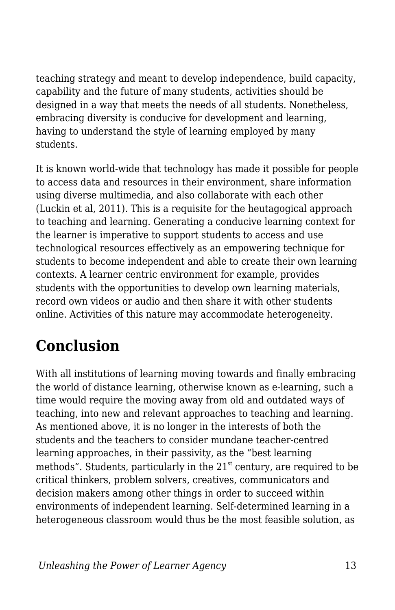teaching strategy and meant to develop independence, build capacity, capability and the future of many students, activities should be designed in a way that meets the needs of all students. Nonetheless, embracing diversity is conducive for development and learning, having to understand the style of learning employed by many students.

It is known world-wide that technology has made it possible for people to access data and resources in their environment, share information using diverse multimedia, and also collaborate with each other (Luckin et al, 2011). This is a requisite for the heutagogical approach to teaching and learning. Generating a conducive learning context for the learner is imperative to support students to access and use technological resources effectively as an empowering technique for students to become independent and able to create their own learning contexts. A learner centric environment for example, provides students with the opportunities to develop own learning materials, record own videos or audio and then share it with other students online. Activities of this nature may accommodate heterogeneity.

### **Conclusion**

With all institutions of learning moving towards and finally embracing the world of distance learning, otherwise known as e-learning, such a time would require the moving away from old and outdated ways of teaching, into new and relevant approaches to teaching and learning. As mentioned above, it is no longer in the interests of both the students and the teachers to consider mundane teacher-centred learning approaches, in their passivity, as the "best learning methods". Students, particularly in the  $21<sup>st</sup>$  century, are required to be critical thinkers, problem solvers, creatives, communicators and decision makers among other things in order to succeed within environments of independent learning. Self-determined learning in a heterogeneous classroom would thus be the most feasible solution, as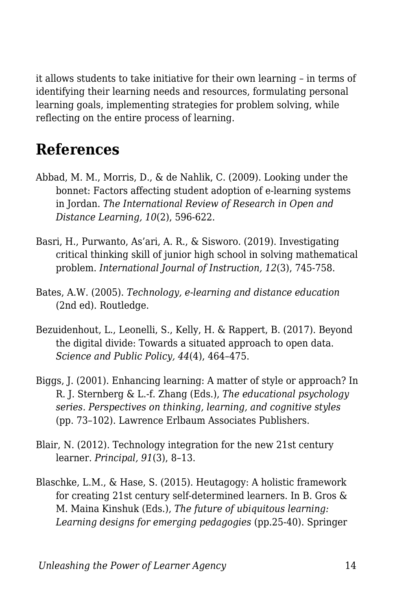it allows students to take initiative for their own learning – in terms of identifying their learning needs and resources, formulating personal learning goals, implementing strategies for problem solving, while reflecting on the entire process of learning.

#### **References**

- Abbad, M. M., Morris, D., & de Nahlik, C. (2009). Looking under the bonnet: Factors affecting student adoption of e-learning systems in Jordan. *The International Review of Research in Open and Distance Learning, 10*(2), 596-622.
- Basri, H., Purwanto, As'ari, A. R., & Sisworo. (2019). Investigating critical thinking skill of junior high school in solving mathematical problem. *International Journal of Instruction, 12*(3), 745-758.
- Bates, A.W. (2005). *Technology, e-learning and distance education* (2nd ed). Routledge.
- Bezuidenhout, L., Leonelli, S., Kelly, H. & Rappert, B. (2017). Beyond the digital divide: Towards a situated approach to open data. *Science and Public Policy, 44*(4), 464–475.
- Biggs, J. (2001). Enhancing learning: A matter of style or approach? In R. J. Sternberg & L.-f. Zhang (Eds.), *The educational psychology series. Perspectives on thinking, learning, and cognitive styles* (pp. 73–102). Lawrence Erlbaum Associates Publishers.
- Blair, N. (2012). Technology integration for the new 21st century learner. *Principal, 91*(3), 8–13.
- Blaschke, L.M., & Hase, S. (2015). Heutagogy: A holistic framework for creating 21st century self-determined learners. In B. Gros & M. Maina Kinshuk (Eds.), *The future of ubiquitous learning: Learning designs for emerging pedagogies* (pp.25-40). Springer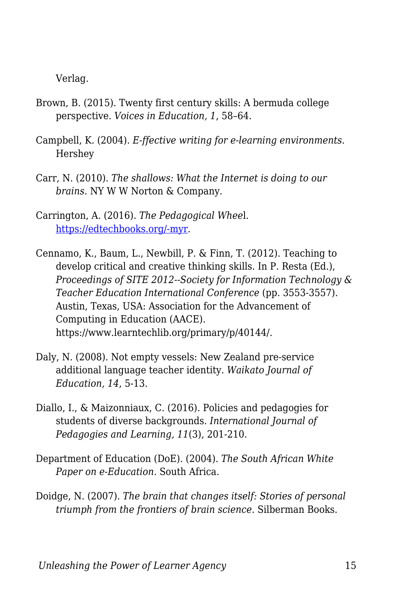Verlag.

- Brown, B. (2015). Twenty first century skills: A bermuda college perspective. *Voices in Education, 1*, 58–64.
- Campbell, K. (2004). *E-ffective writing for e-learning environments*. Hershey
- Carr, N. (2010). *The shallows: What the Internet is doing to our brains*. NY W W Norton & Company.
- Carrington, A. (2016). *The Pedagogical Whee*l. [https://edtechbooks.org/-myr](https://educationtechnologysolutions.com/2016/06/padagogy-wheel/).
- Cennamo, K., Baum, L., Newbill, P. & Finn, T. (2012). Teaching to develop critical and creative thinking skills. In P. Resta (Ed.), *Proceedings of SITE 2012--Society for Information Technology & Teacher Education International Conference* (pp. 3553-3557). Austin, Texas, USA: Association for the Advancement of Computing in Education (AACE). https://www.learntechlib.org/primary/p/40144/.
- Daly, N. (2008). Not empty vessels: New Zealand pre-service additional language teacher identity. *Waikato Journal of Education, 14*, 5-13.
- Diallo, I., & Maizonniaux, C. (2016). Policies and pedagogies for students of diverse backgrounds. *International Journal of Pedagogies and Learning, 11*(3), 201-210.
- Department of Education (DoE). (2004). *The South African White Paper on e-Education*. South Africa.
- Doidge, N. (2007). *The brain that changes itself: Stories of personal triumph from the frontiers of brain science*. Silberman Books.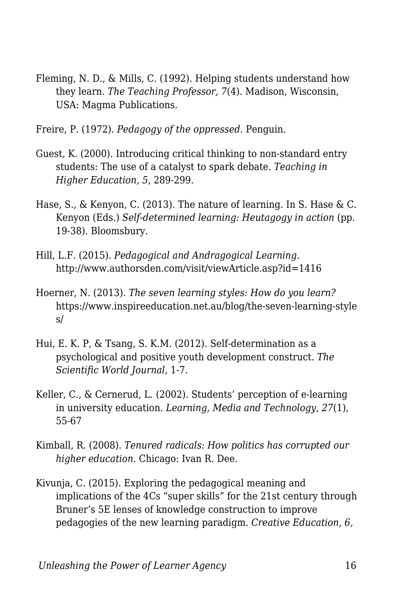Fleming, N. D., & Mills, C. (1992). Helping students understand how they learn. *The Teaching Professor, 7*(4). Madison, Wisconsin, USA: Magma Publications.

Freire, P. (1972). *Pedagogy of the oppressed.* Penguin.

- Guest, K. (2000). Introducing critical thinking to non-standard entry students: The use of a catalyst to spark debate. *Teaching in Higher Education, 5*, 289-299.
- Hase, S., & Kenyon, C. (2013). The nature of learning. In S. Hase & C. Kenyon (Eds.) *Self-determined learning: Heutagogy in action* (pp. 19-38). Bloomsbury.
- Hill, L.F. (2015). *Pedagogical and Andragogical Learning*. http://www.authorsden.com/visit/viewArticle.asp?id=1416
- Hoerner, N. (2013). *The seven learning styles: How do you learn?* https://www.inspireeducation.net.au/blog/the-seven-learning-style s/
- Hui, E. K. P, & Tsang, S. K.M. (2012). Self-determination as a psychological and positive youth development construct. *The Scientific World Journal,* 1-7.
- Keller, C., & Cernerud, L. (2002). Students' perception of e-learning in university education. *Learning, Media and Technology, 27*(1), 55-67
- Kimball, R. (2008). *Tenured radicals: How politics has corrupted our higher education*. Chicago: Ivan R. Dee.
- Kivunja, C. (2015). Exploring the pedagogical meaning and implications of the 4Cs "super skills" for the 21st century through Bruner's 5E lenses of knowledge construction to improve pedagogies of the new learning paradigm. *Creative Education, 6,*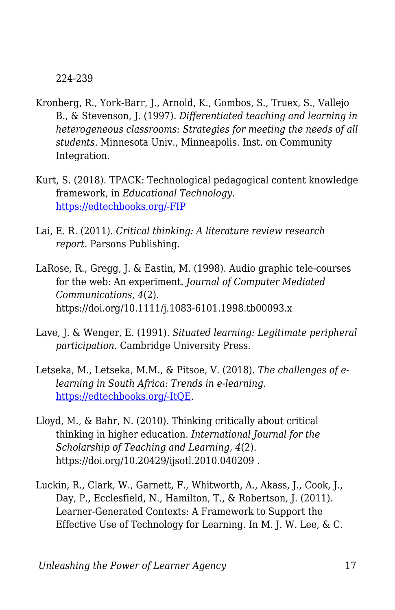224-239

- Kronberg, R., York-Barr, J., Arnold, K., Gombos, S., Truex, S., Vallejo B., & Stevenson, J. (1997). *Differentiated teaching and learning in heterogeneous classrooms: Strategies for meeting the needs of all students*. Minnesota Univ., Minneapolis. Inst. on Community Integration.
- Kurt, S. (2018). TPACK: Technological pedagogical content knowledge framework, in *Educational Technology*. [https://edtechbooks.org/-FIP](https://educationaltechnology.net/technological-pedagogical-content-knowledge-tpack-framework/)
- Lai, E. R. (2011). *Critical thinking: A literature review research report*. Parsons Publishing.
- LaRose, R., Gregg, J. & Eastin, M. (1998). Audio graphic tele-courses for the web: An experiment. *Journal of Computer Mediated Communications, 4*(2). https://doi.org/10.1111/j.1083-6101.1998.tb00093.x
- Lave, J. & Wenger, E. (1991). *Situated learning: Legitimate peripheral participation*. Cambridge University Press.
- Letseka, M., Letseka, M.M., & Pitsoe, V. (2018). *The challenges of elearning in South Africa: Trends in e-learning*. [https://edtechbooks.org/-ItQE.](https://www.intechopen.com/books/trends-in-e-learning/the-challenges-of-e-learning-in-south-africa)
- Lloyd, M., & Bahr, N. (2010). Thinking critically about critical thinking in higher education. *International Journal for the Scholarship of Teaching and Learning, 4*(2). https://doi.org/10.20429/ijsotl.2010.040209 .
- Luckin, R., Clark, W., Garnett, F., Whitworth, A., Akass, J., Cook, J., Day, P., Ecclesfield, N., Hamilton, T., & Robertson, J. (2011). Learner-Generated Contexts: A Framework to Support the Effective Use of Technology for Learning. In M. J. W. Lee, & C.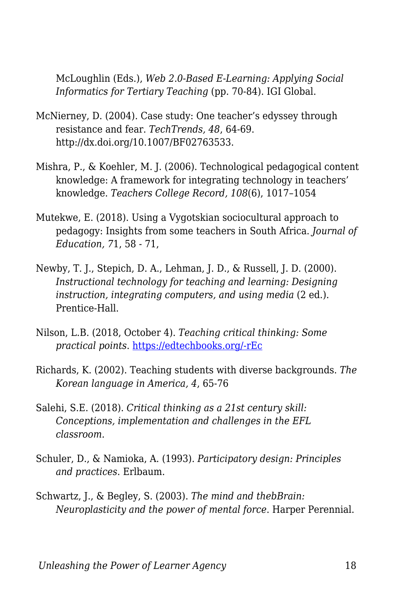McLoughlin (Eds.), *Web 2.0-Based E-Learning: Applying Social Informatics for Tertiary Teaching* (pp. 70-84). IGI Global.

- McNierney, D. (2004). Case study: One teacher's edyssey through resistance and fear. *TechTrends, 48*, 64-69. http://dx.doi.org/10.1007/BF02763533.
- Mishra, P., & Koehler, M. J. (2006). Technological pedagogical content knowledge: A framework for integrating technology in teachers' knowledge. *Teachers College Record, 108*(6), 1017–1054
- Mutekwe, E. (2018). Using a Vygotskian sociocultural approach to pedagogy: Insights from some teachers in South Africa. *Journal of Education, 7*1, 58 - 71,
- Newby, T. J., Stepich, D. A., Lehman, J. D., & Russell, J. D. (2000). *Instructional technology for teaching and learning: Designing instruction, integrating computers, and using media* (2 ed.). Prentice-Hall.
- Nilson, L.B. (2018, October 4). *Teaching critical thinking: Some practical points*. [https://edtechbooks.org/-rEc](https://www.facultyfocus.com/articles/effective-teaching-strategies/teaching-critical-thinking-practical-points/)
- Richards, K. (2002). Teaching students with diverse backgrounds. *The Korean language in America, 4*, 65-76
- Salehi, S.E. (2018). *Critical thinking as a 21st century skill: Conceptions, implementation and challenges in the EFL classroom.*
- Schuler, D., & Namioka, A. (1993). *Participatory design: Principles and practices*. Erlbaum.
- Schwartz, J., & Begley, S. (2003). *The mind and thebBrain: Neuroplasticity and the power of mental force*. Harper Perennial.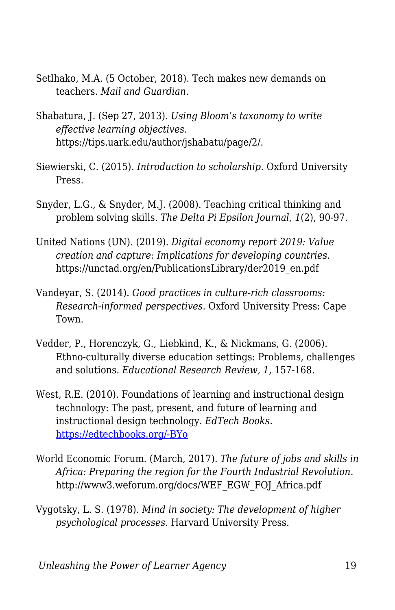- Setlhako, M.A. (5 October, 2018). Tech makes new demands on teachers. *Mail and Guardian*.
- Shabatura, J. (Sep 27, 2013). *Using Bloom's taxonomy to write effective learning objectives.* https://tips.uark.edu/author/jshabatu/page/2/.
- Siewierski, C. (2015). *Introduction to scholarship*. Oxford University Press.
- Snyder, L.G., & Snyder, M.J. (2008). Teaching critical thinking and problem solving skills. *The Delta Pi Epsilon Journal, 1*(2), 90-97.
- United Nations (UN). (2019). *Digital economy report 2019: Value creation and capture: Implications for developing countries*. https://unctad.org/en/PublicationsLibrary/der2019\_en.pdf
- Vandeyar, S. (2014). *Good practices in culture-rich classrooms: Research-informed perspectives*. Oxford University Press: Cape Town.
- Vedder, P., Horenczyk, G., Liebkind, K., & Nickmans, G. (2006). Ethno-culturally diverse education settings: Problems, challenges and solutions. *Educational Research Review, 1*, 157-168.
- West, R.E. (2010). Foundations of learning and instructional design technology: The past, present, and future of learning and instructional design technology. *EdTech Books*. [https://edtechbooks.org/-BYo](https://edtechbooks.org/lidtfoundations/careers_in_consulting)
- World Economic Forum. (March, 2017). *The future of jobs and skills in Africa: Preparing the region for the Fourth Industrial Revolution*. http://www3.weforum.org/docs/WEF\_EGW\_FOJ\_Africa.pdf
- Vygotsky, L. S. (1978). *Mind in society: The development of higher psychological processes*. Harvard University Press.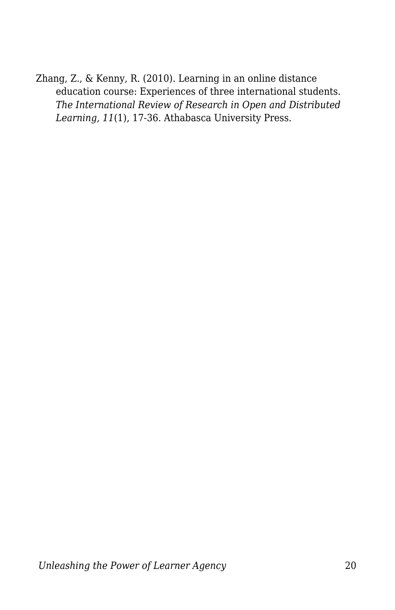Zhang, Z., & Kenny, R. (2010). Learning in an online distance education course: Experiences of three international students. *The International Review of Research in Open and Distributed Learning, 11*(1), 17-36. Athabasca University Press.